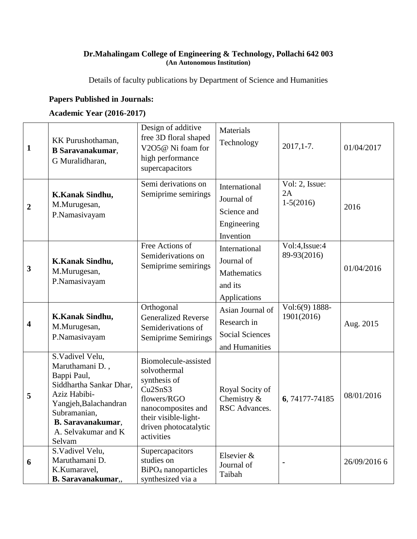## **Dr.Mahalingam College of Engineering & Technology, Pollachi 642 003 (An Autonomous Institution)**

Details of faculty publications by Department of Science and Humanities

## **Papers Published in Journals:**

## **Academic Year (2016-2017)**

| 1            | KK Purushothaman,<br><b>B</b> Saravanakumar,<br>G Muralidharan,                                                                                                                                    | Design of additive<br>free 3D floral shaped<br>V2O5@ Ni foam for<br>high performance<br>supercapacitors                                                                                      | Materials<br>Technology                                                     | $2017,1-7.$                         | 01/04/2017   |
|--------------|----------------------------------------------------------------------------------------------------------------------------------------------------------------------------------------------------|----------------------------------------------------------------------------------------------------------------------------------------------------------------------------------------------|-----------------------------------------------------------------------------|-------------------------------------|--------------|
| 2            | K.Kanak Sindhu,<br>M.Murugesan,<br>P.Namasivayam                                                                                                                                                   | Semi derivations on<br>Semiprime semirings                                                                                                                                                   | International<br>Journal of<br>Science and<br>Engineering<br>Invention      | Vol: 2, Issue:<br>2A<br>$1-5(2016)$ | 2016         |
| $\mathbf{3}$ | K.Kanak Sindhu,<br>M.Murugesan,<br>P.Namasivayam                                                                                                                                                   | Free Actions of<br>Semiderivations on<br>Semiprime semirings                                                                                                                                 | International<br>Journal of<br>Mathematics<br>and its<br>Applications       | Vol:4, Issue: 4<br>89-93(2016)      | 01/04/2016   |
| 4            | K.Kanak Sindhu,<br>M.Murugesan,<br>P.Namasivayam                                                                                                                                                   | Orthogonal<br><b>Generalized Reverse</b><br>Semiderivations of<br>Semiprime Semirings                                                                                                        | Asian Journal of<br>Research in<br><b>Social Sciences</b><br>and Humanities | Vol:6(9) 1888-<br>1901(2016)        | Aug. 2015    |
| 5            | S.Vadivel Velu,<br>Maruthamani D.,<br>Bappi Paul,<br>Siddhartha Sankar Dhar,<br>Aziz Habibi-<br>Yangjeh, Balachandran<br>Subramanian,<br><b>B.</b> Saravanakumar,<br>A. Selvakumar and K<br>Selvam | Biomolecule-assisted<br>solvothermal<br>synthesis of<br>Cu <sub>2</sub> Sn <sub>S3</sub><br>flowers/RGO<br>nanocomposites and<br>their visible-light-<br>driven photocatalytic<br>activities | Royal Socity of<br>Chemistry $\&$<br>RSC Advances.                          | 6, 74177-74185                      | 08/01/2016   |
| 6            | S.Vadivel Velu,<br>Maruthamani D.<br>K.Kumaravel,<br><b>B.</b> Saravanakumar,,                                                                                                                     | Supercapacitors<br>studies on<br>BiPO <sub>4</sub> nanoparticles<br>synthesized via a                                                                                                        | Elsevier &<br>Journal of<br>Taibah                                          | ٠                                   | 26/09/2016 6 |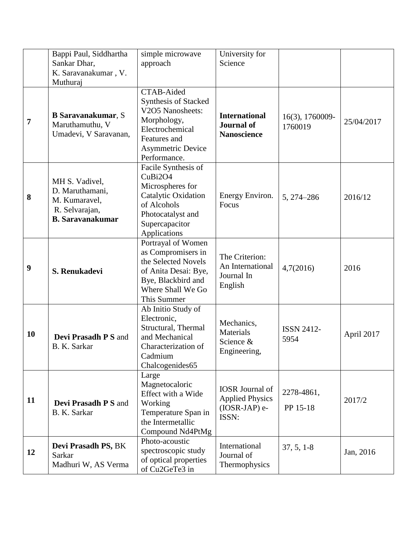|                | Bappi Paul, Siddhartha                                                                          | simple microwave                                                                                                                                            | University for                                                               |                            |            |
|----------------|-------------------------------------------------------------------------------------------------|-------------------------------------------------------------------------------------------------------------------------------------------------------------|------------------------------------------------------------------------------|----------------------------|------------|
|                | Sankar Dhar,                                                                                    | approach                                                                                                                                                    | Science                                                                      |                            |            |
|                | K. Saravanakumar, V.                                                                            |                                                                                                                                                             |                                                                              |                            |            |
|                | Muthuraj                                                                                        |                                                                                                                                                             |                                                                              |                            |            |
| $\overline{7}$ | <b>B</b> Saravanakumar, S<br>Maruthamuthu, V<br>Umadevi, V Saravanan,                           | CTAB-Aided<br><b>Synthesis of Stacked</b><br>V2O5 Nanosheets:<br>Morphology,<br>Electrochemical<br>Features and<br><b>Asymmetric Device</b><br>Performance. | <b>International</b><br><b>Journal of</b><br><b>Nanoscience</b>              | 16(3), 1760009-<br>1760019 | 25/04/2017 |
| 8              | MH S. Vadivel,<br>D. Maruthamani,<br>M. Kumaravel,<br>R. Selvarajan,<br><b>B.</b> Saravanakumar | Facile Synthesis of<br>CuBi2O4<br>Microspheres for<br>Catalytic Oxidation<br>of Alcohols<br>Photocatalyst and<br>Supercapacitor<br>Applications             | Energy Environ.<br>Focus                                                     | 5, 274-286                 | 2016/12    |
| 9              | S. Renukadevi                                                                                   | Portrayal of Women<br>as Compromisers in<br>the Selected Novels<br>of Anita Desai: Bye,<br>Bye, Blackbird and<br>Where Shall We Go<br>This Summer           | The Criterion:<br>An International<br>Journal In<br>English                  | 4,7(2016)                  | 2016       |
| <b>10</b>      | <b>Devi Prasadh P S and</b><br>B. K. Sarkar                                                     | Ab Initio Study of<br>Electronic,<br>Structural, Thermal<br>and Mechanical<br>Characterization of<br>Cadmium<br>Chalcogenides65                             | Mechanics,<br>Materials<br>Science &<br>Engineering,                         | <b>ISSN 2412-</b><br>5954  | April 2017 |
| 11             | <b>Devi Prasadh P S and</b><br>B. K. Sarkar                                                     | Large<br>Magnetocaloric<br>Effect with a Wide<br>Working<br>Temperature Span in<br>the Intermetallic<br>Compound Nd4PtMg                                    | <b>IOSR</b> Journal of<br><b>Applied Physics</b><br>$(IOSR-JAP)$ e-<br>ISSN: | 2278-4861,<br>PP 15-18     | 2017/2     |
| 12             | Devi Prasadh PS, BK<br>Sarkar<br>Madhuri W, AS Verma                                            | Photo-acoustic<br>spectroscopic study<br>of optical properties<br>of Cu2GeTe3 in                                                                            | International<br>Journal of<br>Thermophysics                                 | $37, 5, 1-8$               | Jan, 2016  |